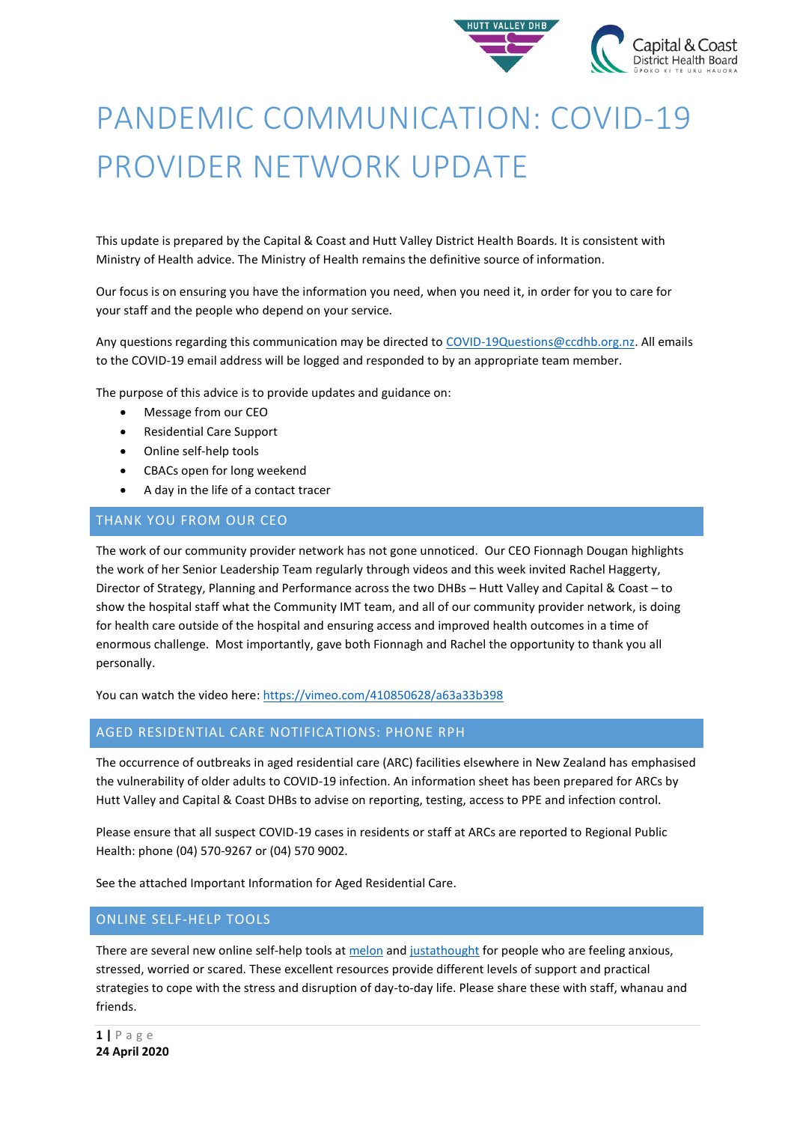

# PANDEMIC COMMUNICATION: COVID-19 PROVIDER NETWORK UPDATE

This update is prepared by the Capital & Coast and Hutt Valley District Health Boards. It is consistent with Ministry of Health advice. The Ministry of Health remains the definitive source of information.

Our focus is on ensuring you have the information you need, when you need it, in order for you to care for your staff and the people who depend on your service.

Any questions regarding this communication may be directed t[o COVID-19Questions@ccdhb.org.nz.](mailto:COVID-19Questions@ccdhb.org.nz) All emails to the COVID-19 email address will be logged and responded to by an appropriate team member.

The purpose of this advice is to provide updates and guidance on:

- Message from our CEO
- Residential Care Support
- Online self-help tools
- CBACs open for long weekend
- A day in the life of a contact tracer

## THANK YOU FROM OUR CEO

The work of our community provider network has not gone unnoticed. Our CEO Fionnagh Dougan highlights the work of her Senior Leadership Team regularly through videos and this week invited Rachel Haggerty, Director of Strategy, Planning and Performance across the two DHBs – Hutt Valley and Capital & Coast – to show the hospital staff what the Community IMT team, and all of our community provider network, is doing for health care outside of the hospital and ensuring access and improved health outcomes in a time of enormous challenge. Most importantly, gave both Fionnagh and Rachel the opportunity to thank you all personally.

You can watch the video here: <https://vimeo.com/410850628/a63a33b398>

## AGED RESIDENTIAL CARE NOTIFICATIONS: PHONE RPH

The occurrence of outbreaks in aged residential care (ARC) facilities elsewhere in New Zealand has emphasised the vulnerability of older adults to COVID-19 infection. An information sheet has been prepared for ARCs by Hutt Valley and Capital & Coast DHBs to advise on reporting, testing, access to PPE and infection control.

Please ensure that all suspect COVID-19 cases in residents or staff at ARCs are reported to Regional Public Health: phone (04) 570-9267 or (04) 570 9002.

See the attached Important Information for Aged Residential Care.

## ONLINE SELF-HELP TOOLS

There are several new online self-help tools at [melon](https://www.melonhealth.com/covid-19/) an[d justathought](https://www.justathought.co.nz/covid19) for people who are feeling anxious, stressed, worried or scared. These excellent resources provide different levels of support and practical strategies to cope with the stress and disruption of day-to-day life. Please share these with staff, whanau and friends.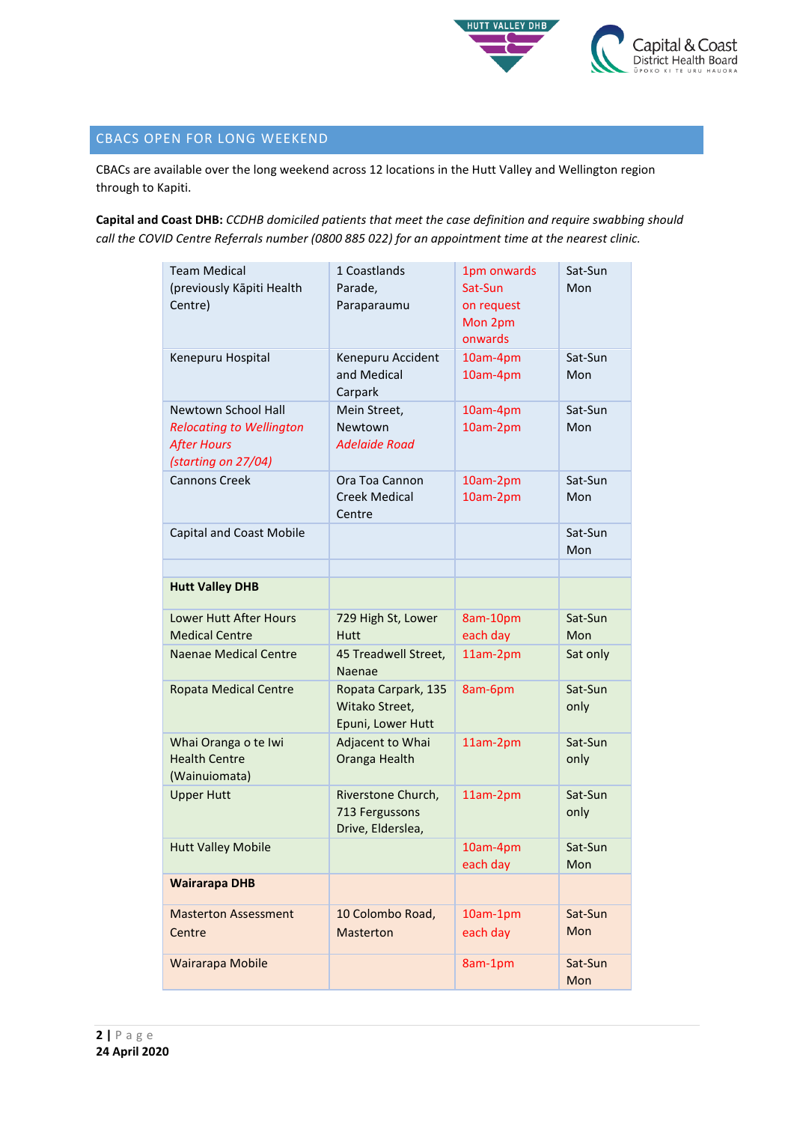

# CBACS OPEN FOR LONG WEEKEND

CBACs are available over the long weekend across 12 locations in the Hutt Valley and Wellington region through to Kapiti.

**Capital and Coast DHB:** *CCDHB domiciled patients that meet the case definition and require swabbing should call the COVID Centre Referrals number (0800 885 022) for an appointment time at the nearest clinic.*

| <b>Team Medical</b><br>(previously Kāpiti Health<br>Centre)                                         | 1 Coastlands<br>Parade,<br>Paraparaumu                     | 1pm onwards<br>Sat-Sun<br>on request<br>Mon 2pm<br>onwards | Sat-Sun<br>Mon  |
|-----------------------------------------------------------------------------------------------------|------------------------------------------------------------|------------------------------------------------------------|-----------------|
| Kenepuru Hospital                                                                                   | Kenepuru Accident<br>and Medical<br>Carpark                | 10am-4pm<br>10am-4pm                                       | Sat-Sun<br>Mon  |
| Newtown School Hall<br><b>Relocating to Wellington</b><br><b>After Hours</b><br>(starting on 27/04) | Mein Street,<br>Newtown<br>Adelaide Road                   | 10am-4pm<br>10am-2pm                                       | Sat-Sun<br>Mon  |
| <b>Cannons Creek</b>                                                                                | Ora Toa Cannon<br><b>Creek Medical</b><br>Centre           | 10am-2pm<br>10am-2pm                                       | Sat-Sun<br>Mon  |
| <b>Capital and Coast Mobile</b>                                                                     |                                                            |                                                            | Sat-Sun<br>Mon  |
| <b>Hutt Valley DHB</b>                                                                              |                                                            |                                                            |                 |
| Lower Hutt After Hours<br><b>Medical Centre</b>                                                     | 729 High St, Lower<br><b>Hutt</b>                          | 8am-10pm<br>each day                                       | Sat-Sun<br>Mon  |
| Naenae Medical Centre                                                                               | 45 Treadwell Street,<br>Naenae                             | 11am-2pm                                                   | Sat only        |
| <b>Ropata Medical Centre</b>                                                                        | Ropata Carpark, 135<br>Witako Street,<br>Epuni, Lower Hutt | 8am-6pm                                                    | Sat-Sun<br>only |
| Whai Oranga o te Iwi<br><b>Health Centre</b><br>(Wainuiomata)                                       | Adjacent to Whai<br>Oranga Health                          | 11am-2pm                                                   | Sat-Sun<br>only |
| <b>Upper Hutt</b>                                                                                   | Riverstone Church,<br>713 Fergussons<br>Drive, Elderslea,  | 11am-2pm                                                   | Sat-Sun<br>only |
| <b>Hutt Valley Mobile</b>                                                                           |                                                            | 10am-4pm<br>each day                                       | Sat-Sun<br>Mon  |
| <b>Wairarapa DHB</b>                                                                                |                                                            |                                                            |                 |
| <b>Masterton Assessment</b><br>Centre                                                               | 10 Colombo Road,<br><b>Masterton</b>                       | 10am-1pm<br>each day                                       | Sat-Sun<br>Mon  |
| Wairarapa Mobile                                                                                    |                                                            | 8am-1pm                                                    | Sat-Sun<br>Mon  |